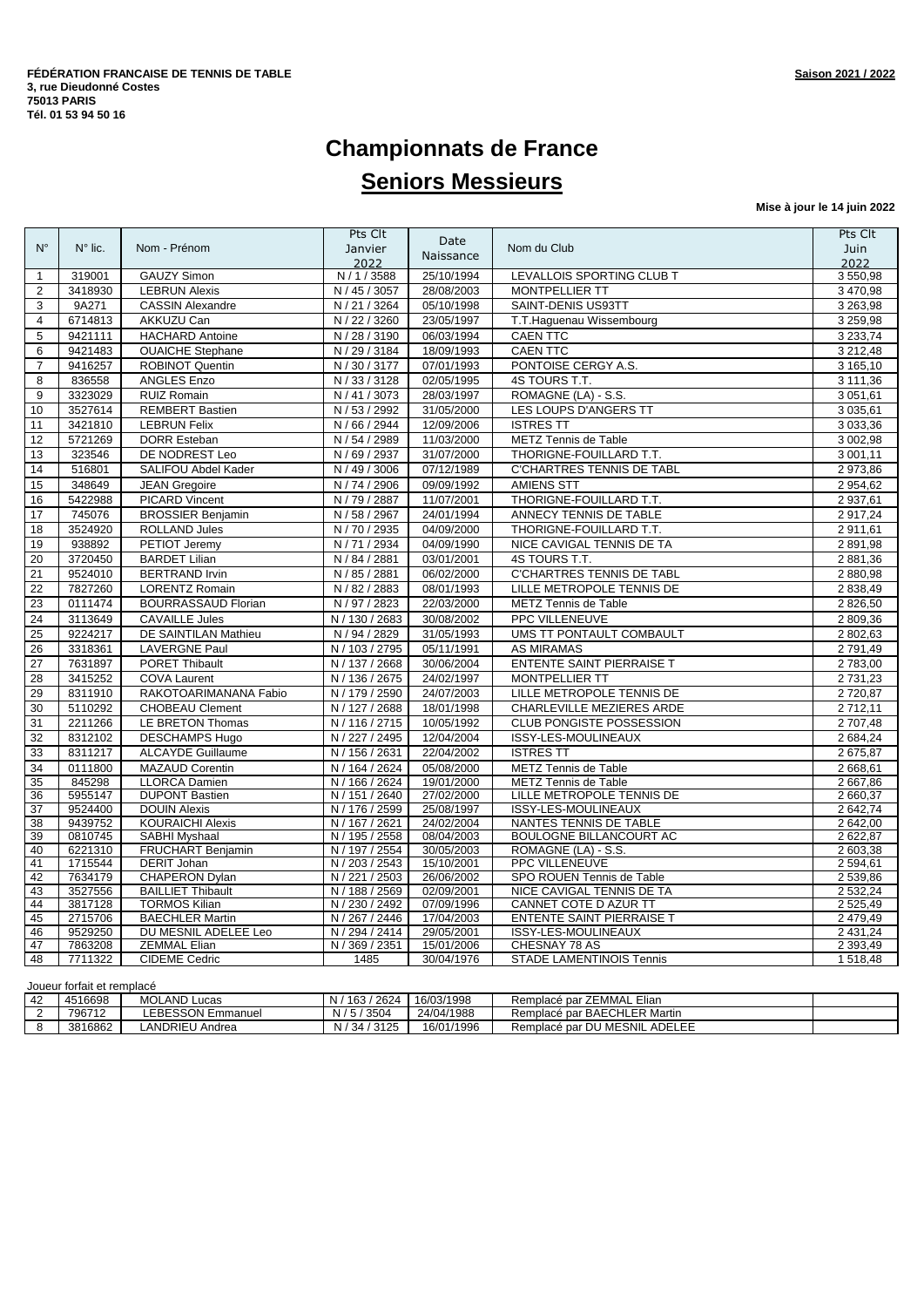# **Championnats de France Seniors Messieurs**

**Mise à jour le 14 juin 2022**

|                 |                    |                                             | Pts Clt                          | Date                     |                                      | Pts Clt                 |
|-----------------|--------------------|---------------------------------------------|----------------------------------|--------------------------|--------------------------------------|-------------------------|
| $N^{\circ}$     | $N^{\circ}$ lic.   | Nom - Prénom                                | Janvier                          | Naissance                | Nom du Club                          | Juin                    |
|                 |                    |                                             | 2022                             |                          |                                      | 2022                    |
| $\mathbf{1}$    | 319001             | <b>GAUZY Simon</b>                          | N / 1 / 3588                     | 25/10/1994               | LEVALLOIS SPORTING CLUB T            | 3550,98                 |
| 2               | 3418930            | <b>LEBRUN Alexis</b>                        | $\overline{N}$ / 45 / 3057       | 28/08/2003               | <b>MONTPELLIER TT</b>                | 3 470,98                |
| 3               | 9A271              | <b>CASSIN Alexandre</b>                     | N / 21 / 3264                    | 05/10/1998               | SAINT-DENIS US93TT                   | 3 263,98                |
| 4               | 6714813            | AKKUZU Can                                  | N / 22 / 3260                    | 23/05/1997               | T.T. Haguenau Wissembourg            | 3 259,98                |
| 5               | 9421111            | <b>HACHARD Antoine</b>                      | N / 28 / 3190                    | 06/03/1994               | <b>CAEN TTC</b>                      | 3 2 3 3 7 4             |
| 6               | 9421483            | <b>OUAICHE Stephane</b>                     | N / 29 / 3184                    | 18/09/1993               | <b>CAEN TTC</b>                      | 3 212,48                |
| $\overline{7}$  | 9416257            | ROBINOT Quentin                             | N / 30 / 3177                    | 07/01/1993               | PONTOISE CERGY A.S.                  | 3 165,10                |
| 8               | 836558             | <b>ANGLES Enzo</b>                          | N / 33 / 3128                    | 02/05/1995               | 4S TOURS T.T.                        | 3 111,36                |
| 9               | 3323029            | <b>RUIZ Romain</b>                          | N / 41 / 3073                    | 28/03/1997               | ROMAGNE (LA) - S.S.                  | 3 051,61                |
| 10              | 3527614            | <b>REMBERT Bastien</b>                      | N / 53 / 2992                    | 31/05/2000               | LES LOUPS D'ANGERS TT                | 3 035,61                |
| 11              | 3421810            | <b>LEBRUN Felix</b>                         | N / 66 / 2944                    | 12/09/2006               | <b>ISTRES TT</b>                     | 3 033,36                |
| 12              | 5721269            | <b>DORR Esteban</b>                         | N / 54 / 2989                    | 11/03/2000               | METZ Tennis de Table                 | 3 002,98                |
| 13              | 323546             | DE NODREST Leo                              | N / 69 / 2937                    | 31/07/2000               | THORIGNE-FOUILLARD T.T.              | 3 001,11                |
| 14              | 516801             | SALIFOU Abdel Kader                         | N / 49 / 3006                    | 07/12/1989               | <b>C'CHARTRES TENNIS DE TABL</b>     | 2 973,86                |
| 15              | 348649             | <b>JEAN Gregoire</b>                        | N / 74 / 2906                    | 09/09/1992               | <b>AMIENS STT</b>                    | 2 9 5 4, 6 2            |
| 16              | 5422988            | <b>PICARD Vincent</b>                       | N / 79 / 2887                    | 11/07/2001               | THORIGNE-FOUILLARD T.T.              | 2 937,61                |
| 17              | 745076             | <b>BROSSIER Benjamin</b>                    | N / 58 / 2967                    | 24/01/1994               | ANNECY TENNIS DE TABLE               | 2 917,24                |
| 18              | 3524920            | <b>ROLLAND Jules</b>                        | $\overline{N/70/2935}$           | 04/09/2000               | THORIGNE-FOUILLARD T.T.              | 2 911,61                |
| 19              | 938892             | PETIOT Jeremy                               | N / 71 / 2934                    | 04/09/1990               | NICE CAVIGAL TENNIS DE TA            | 2891,98                 |
| 20              | 3720450            | <b>BARDET Lilian</b>                        | N / 84 / 2881                    | 03/01/2001               | 4S TOURS T.T.                        | 2 881,36                |
| $\overline{21}$ | 9524010            | <b>BERTRAND Irvin</b>                       | N / 85 / 2881                    | 06/02/2000               | <b>C'CHARTRES TENNIS DE TABL</b>     | 2 880,98                |
| 22              | 7827260            | <b>LORENTZ Romain</b>                       | N / 82 / 2883                    | 08/01/1993               | LILLE METROPOLE TENNIS DE            | 2 838,49                |
| 23              | 0111474            | <b>BOURRASSAUD Florian</b>                  | N / 97 / 2823                    | 22/03/2000               | METZ Tennis de Table                 | 2 826,50                |
| 24              | 3113649            | <b>CAVAILLE Jules</b>                       | N / 130 / 2683                   | 30/08/2002               | PPC VILLENEUVE                       | 2 809,36                |
| 25              | 9224217            | DE SAINTILAN Mathieu                        | N / 94 / 2829                    | 31/05/1993               | UMS TT PONTAULT COMBAULT             | 2 802,63                |
| 26              | 3318361            | <b>LAVERGNE Paul</b>                        | N / 103 / 2795                   | 05/11/1991               | <b>AS MIRAMAS</b>                    | 2791,49                 |
| $\overline{27}$ | 7631897            | <b>PORET Thibault</b>                       | N / 137 / 2668                   | 30/06/2004               | ENTENTE SAINT PIERRAISE T            | 2 783,00                |
| 28              | 3415252            | <b>COVA Laurent</b>                         | N / 136 / 2675                   | 24/02/1997               | <b>MONTPELLIER TT</b>                | 2 731,23                |
| 29              | 8311910            | RAKOTOARIMANANA Fabio                       | N / 179 / 2590                   | 24/07/2003               | LILLE METROPOLE TENNIS DE            | 2720,87                 |
| 30              | 5110292            | <b>CHOBEAU Clement</b>                      | N / 127 / 2688                   | 18/01/1998               | <b>CHARLEVILLE MEZIERES ARDE</b>     | 2712,11                 |
| 31              | 2211266            | LE BRETON Thomas                            | N / 116 / 2715                   | 10/05/1992               | <b>CLUB PONGISTE POSSESSION</b>      | 2 707,48                |
| 32              | 8312102            | <b>DESCHAMPS Hugo</b>                       | N / 227 / 2495                   | 12/04/2004               | ISSY-LES-MOULINEAUX                  | 2 684,24                |
| 33              | 8311217            | <b>ALCAYDE</b> Guillaume                    | N / 156 / 2631                   | 22/04/2002               | <b>ISTRES TT</b>                     | 2 675,87                |
| 34              | 0111800            | <b>MAZAUD Corentin</b>                      | N / 164 / 2624                   | 05/08/2000               | METZ Tennis de Table                 | 2 668,61                |
| 35              | 845298             | <b>LLORCA Damien</b>                        | N / 166 / 2624                   | 19/01/2000               | <b>METZ Tennis de Table</b>          | 2 667.86                |
| 36              | 5955147            | <b>DUPONT Bastien</b>                       | N / 151 / 2640                   | 27/02/2000               | LILLE METROPOLE TENNIS DE            | 2 660,37                |
| $\overline{37}$ | 9524400            | <b>DOUIN Alexis</b>                         | N / 176 / 2599                   | 25/08/1997               | <b>ISSY-LES-MOULINEAUX</b>           | 2 642,74                |
| 38              | 9439752            | <b>KOURAICHI Alexis</b>                     | N / 167 / 2621                   | 24/02/2004               | NANTES TENNIS DE TABLE               | 2 642,00                |
| 39              | 0810745            | SABHI Myshaal                               | N / 195 / 2558                   | 08/04/2003               | <b>BOULOGNE BILLANCOURT AC</b>       | 2 622,87                |
| 40              | 6221310            | FRUCHART Benjamin                           | N / 197 / 2554                   | 30/05/2003               | ROMAGNE (LA) - S.S.                  | 2 603,38                |
| 41              | 1715544            | DERIT Johan                                 | N / 203 / 2543                   | 15/10/2001               | PPC VILLENEUVE                       | 2 594,61                |
| 42              | 7634179            | <b>CHAPERON Dylan</b>                       | N / 221 / 2503                   | 26/06/2002               | SPO ROUEN Tennis de Table            | 2 539,86                |
| 43              | 3527556            | <b>BAILLIET Thibault</b>                    | N / 188 / 2569                   | 02/09/2001               | NICE CAVIGAL TENNIS DE TA            | 2 532,24                |
| 44              | 3817128            | <b>TORMOS Kilian</b>                        | N / 230 / 2492                   | 07/09/1996               | CANNET COTE D AZUR TT                | 2 525,49                |
| 45              | 2715706            | <b>BAECHLER Martin</b>                      | N / 267 / 2446                   | 17/04/2003               | <b>ENTENTE SAINT PIERRAISE T</b>     | 2 479,49                |
| 46<br>47        | 9529250<br>7863208 | DU MESNIL ADELEE Leo<br><b>ZEMMAL Elian</b> | N / 294 / 2414<br>N / 369 / 2351 | 29/05/2001<br>15/01/2006 | ISSY-LES-MOULINEAUX<br>CHESNAY 78 AS | 2 431,24<br>2 3 9 3 4 9 |
| 48              | 7711322            | <b>CIDEME Cedric</b>                        | 1485                             | 30/04/1976               | STADE LAMENTINOIS Tennis             | 1 518,48                |
|                 |                    |                                             |                                  |                          |                                      |                         |

| Joueur forfait et remplacé |         |                     |                |            |                               |  |  |  |
|----------------------------|---------|---------------------|----------------|------------|-------------------------------|--|--|--|
| l 42                       | 4516698 | <b>MOLAND Lucas</b> | N / 163 / 2624 | 16/03/1998 | Remplacé par ZEMMAL Elian     |  |  |  |
|                            | 796712  | LEBESSON Emmanuel   | N / 5 / 3504   | 24/04/1988 | Remplacé par BAECHLER Martin  |  |  |  |
|                            | 3816862 | LANDRIEU Andrea     | N / 34 / 3125  | 16/01/1996 | Remplacé par DU MESNIL ADELEE |  |  |  |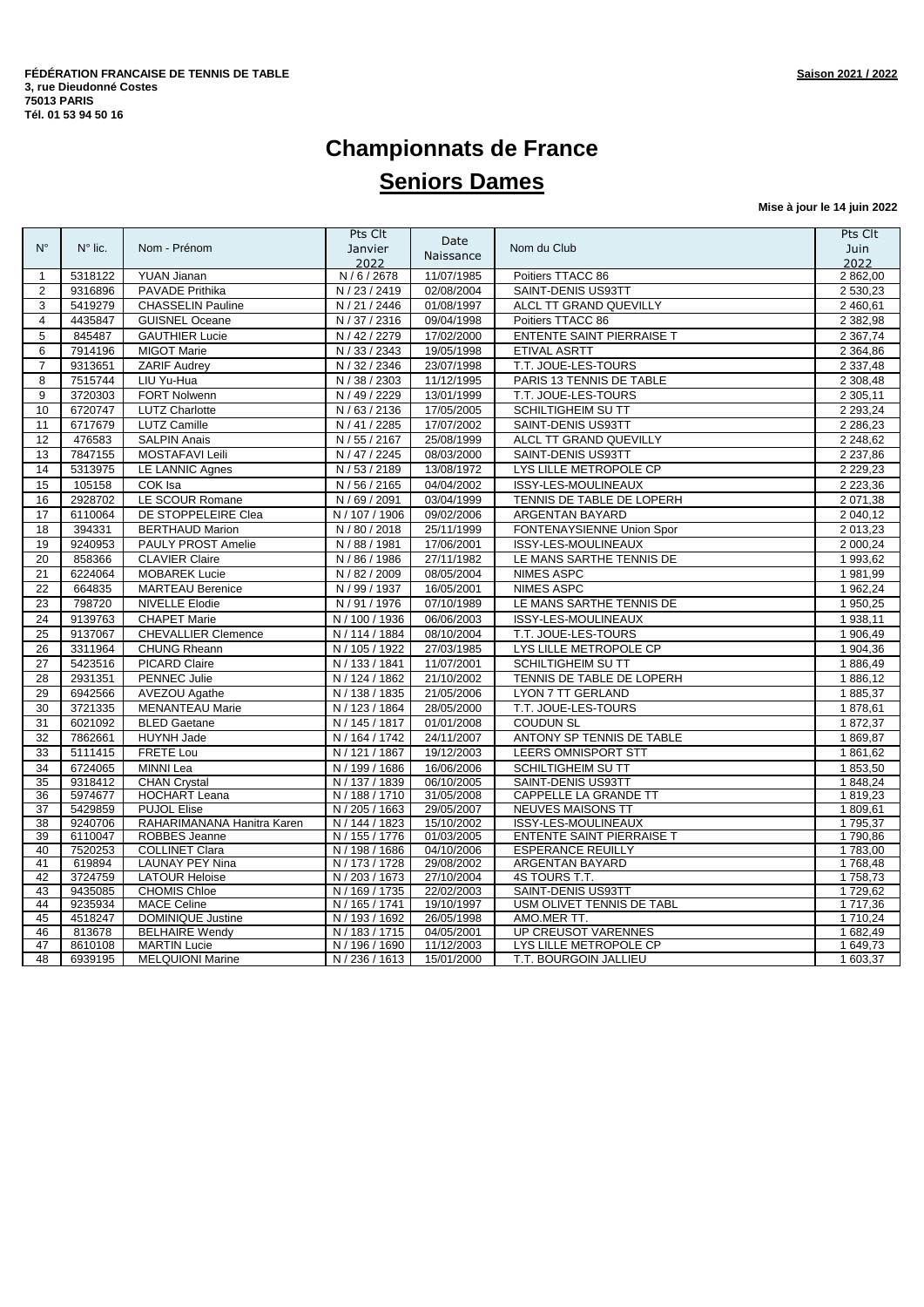# **Championnats de France Seniors Dames**

**Mise à jour le 14 juin 2022**

| Date<br>$N^{\circ}$<br>$N^{\circ}$ lic.<br>Nom - Prénom<br>Nom du Club<br>Janvier<br>Naissance<br>2022<br>5318122<br><b>YUAN Jianan</b><br>N/6/2678<br>11/07/1985<br>Poitiers TTACC 86<br>$\mathbf{1}$<br>9316896<br>PAVADE Prithika<br>N / 23 / 2419<br>02/08/2004<br>SAINT-DENIS US93TT<br>$\overline{2}$<br>5419279<br>N / 21 / 2446<br>01/08/1997<br>ALCL TT GRAND QUEVILLY<br>3<br><b>CHASSELIN Pauline</b><br>4435847<br><b>GUISNEL Oceane</b><br>N / 37 / 2316<br>09/04/1998<br>Poitiers TTACC 86<br>$\overline{4}$<br>845487<br><b>GAUTHIER Lucie</b><br>N / 42 / 2279<br>17/02/2000<br>ENTENTE SAINT PIERRAISE T<br>5<br>6<br>7914196<br><b>MIGOT Marie</b><br>N / 33 / 2343<br>19/05/1998<br>ETIVAL ASRTT<br><b>ZARIF Audrey</b><br>T.T. JOUE-LES-TOURS<br>9313651<br>N / 32 / 2346<br>23/07/1998<br>$\overline{7}$<br>7515744<br>LIU Yu-Hua<br>N / 38 / 2303<br>11/12/1995<br>PARIS 13 TENNIS DE TABLE<br>8<br>FORT Nolwenn<br>N / 49 / 2229<br>13/01/1999<br>T.T. JOUE-LES-TOURS<br>9<br>3720303<br>10<br>6720747<br><b>LUTZ Charlotte</b><br>N/63/2136<br>17/05/2005<br><b>SCHILTIGHEIM SU TT</b><br>6717679<br><b>LUTZ Camille</b><br>N / 41 / 2285<br>17/07/2002<br>SAINT-DENIS US93TT<br>11<br>12<br>476583<br><b>SALPIN Anais</b><br>N / 55 / 2167<br>25/08/1999<br>ALCL TT GRAND QUEVILLY<br>08/03/2000<br>SAINT-DENIS US93TT<br>13<br>7847155<br>MOSTAFAVI Leili<br>N / 47 / 2245<br>14<br>5313975<br><b>LE LANNIC Agnes</b><br>N / 53 / 2189<br>13/08/1972<br>LYS LILLE METROPOLE CP<br>15<br>105158<br>COK Isa<br>N / 56 / 2165<br>04/04/2002<br>ISSY-LES-MOULINEAUX<br>16<br>2928702<br>LE SCOUR Romane<br>N / 69 / 2091<br>03/04/1999<br>TENNIS DE TABLE DE LOPERH<br>DE STOPPELEIRE Clea<br>17<br>6110064<br>N / 107 / 1906<br>09/02/2006<br>ARGENTAN BAYARD<br>18<br><b>BERTHAUD Marion</b><br>N / 80 / 2018<br>25/11/1999<br>FONTENAYSIENNE Union Spor<br>394331<br>19<br>9240953<br>PAULY PROST Amelie<br>N / 88 / 1981<br>17/06/2001<br>ISSY-LES-MOULINEAUX<br><b>CLAVIER Claire</b><br>N / 86 / 1986<br>27/11/1982<br>20<br>858366<br>LE MANS SARTHE TENNIS DE<br>6224064<br><b>MOBAREK Lucie</b><br>N / 82 / 2009<br>08/05/2004<br><b>NIMES ASPC</b><br>21<br>22<br>N / 99 / 1937<br><b>NIMES ASPC</b><br>664835<br><b>MARTEAU Berenice</b><br>16/05/2001<br>23<br>798720<br><b>NIVELLE Elodie</b><br>N / 91 / 1976<br>07/10/1989<br>LE MANS SARTHE TENNIS DE<br>24<br>9139763<br><b>CHAPET Marie</b><br>N / 100 / 1936<br>06/06/2003<br>ISSY-LES-MOULINEAUX<br>9137067<br>N / 114 / 1884<br>25<br><b>CHEVALLIER Clemence</b><br>08/10/2004<br>T.T. JOUE-LES-TOURS<br>N / 105 / 1922<br>27/03/1985<br>26<br>3311964<br>CHUNG Rheann<br>LYS LILLE METROPOLE CP<br>5423516<br>11/07/2001<br>27<br><b>PICARD Claire</b><br>N / 133 / 1841<br>SCHILTIGHEIM SU TT<br>N / 124 / 1862<br>21/10/2002<br>28<br>2931351<br>PENNEC Julie<br>TENNIS DE TABLE DE LOPERH<br>N / 138 / 1835<br>21/05/2006<br>29<br>6942566<br>AVEZOU Agathe<br><b>LYON 7 TT GERLAND</b> | Juin<br>2022<br>2 862,00<br>2 530,23<br>2 460,61<br>2 382,98<br>2 3 67, 74<br>2 3 64,86<br>2 3 3 7 4 8<br>2 308,48<br>2 305,11<br>2 2 9 3 , 2 4<br>2 2 8 6 , 2 3 |
|----------------------------------------------------------------------------------------------------------------------------------------------------------------------------------------------------------------------------------------------------------------------------------------------------------------------------------------------------------------------------------------------------------------------------------------------------------------------------------------------------------------------------------------------------------------------------------------------------------------------------------------------------------------------------------------------------------------------------------------------------------------------------------------------------------------------------------------------------------------------------------------------------------------------------------------------------------------------------------------------------------------------------------------------------------------------------------------------------------------------------------------------------------------------------------------------------------------------------------------------------------------------------------------------------------------------------------------------------------------------------------------------------------------------------------------------------------------------------------------------------------------------------------------------------------------------------------------------------------------------------------------------------------------------------------------------------------------------------------------------------------------------------------------------------------------------------------------------------------------------------------------------------------------------------------------------------------------------------------------------------------------------------------------------------------------------------------------------------------------------------------------------------------------------------------------------------------------------------------------------------------------------------------------------------------------------------------------------------------------------------------------------------------------------------------------------------------------------------------------------------------------------------------------------------------------------------------------------------------------------------------------------------------------------------------------------------------------------------------------------------------------------------------------------------------------------------------------------------------------------------------------------------------------------------------------------------------------------------------------|------------------------------------------------------------------------------------------------------------------------------------------------------------------|
|                                                                                                                                                                                                                                                                                                                                                                                                                                                                                                                                                                                                                                                                                                                                                                                                                                                                                                                                                                                                                                                                                                                                                                                                                                                                                                                                                                                                                                                                                                                                                                                                                                                                                                                                                                                                                                                                                                                                                                                                                                                                                                                                                                                                                                                                                                                                                                                                                                                                                                                                                                                                                                                                                                                                                                                                                                                                                                                                                                                        |                                                                                                                                                                  |
|                                                                                                                                                                                                                                                                                                                                                                                                                                                                                                                                                                                                                                                                                                                                                                                                                                                                                                                                                                                                                                                                                                                                                                                                                                                                                                                                                                                                                                                                                                                                                                                                                                                                                                                                                                                                                                                                                                                                                                                                                                                                                                                                                                                                                                                                                                                                                                                                                                                                                                                                                                                                                                                                                                                                                                                                                                                                                                                                                                                        |                                                                                                                                                                  |
|                                                                                                                                                                                                                                                                                                                                                                                                                                                                                                                                                                                                                                                                                                                                                                                                                                                                                                                                                                                                                                                                                                                                                                                                                                                                                                                                                                                                                                                                                                                                                                                                                                                                                                                                                                                                                                                                                                                                                                                                                                                                                                                                                                                                                                                                                                                                                                                                                                                                                                                                                                                                                                                                                                                                                                                                                                                                                                                                                                                        |                                                                                                                                                                  |
|                                                                                                                                                                                                                                                                                                                                                                                                                                                                                                                                                                                                                                                                                                                                                                                                                                                                                                                                                                                                                                                                                                                                                                                                                                                                                                                                                                                                                                                                                                                                                                                                                                                                                                                                                                                                                                                                                                                                                                                                                                                                                                                                                                                                                                                                                                                                                                                                                                                                                                                                                                                                                                                                                                                                                                                                                                                                                                                                                                                        |                                                                                                                                                                  |
|                                                                                                                                                                                                                                                                                                                                                                                                                                                                                                                                                                                                                                                                                                                                                                                                                                                                                                                                                                                                                                                                                                                                                                                                                                                                                                                                                                                                                                                                                                                                                                                                                                                                                                                                                                                                                                                                                                                                                                                                                                                                                                                                                                                                                                                                                                                                                                                                                                                                                                                                                                                                                                                                                                                                                                                                                                                                                                                                                                                        |                                                                                                                                                                  |
|                                                                                                                                                                                                                                                                                                                                                                                                                                                                                                                                                                                                                                                                                                                                                                                                                                                                                                                                                                                                                                                                                                                                                                                                                                                                                                                                                                                                                                                                                                                                                                                                                                                                                                                                                                                                                                                                                                                                                                                                                                                                                                                                                                                                                                                                                                                                                                                                                                                                                                                                                                                                                                                                                                                                                                                                                                                                                                                                                                                        |                                                                                                                                                                  |
|                                                                                                                                                                                                                                                                                                                                                                                                                                                                                                                                                                                                                                                                                                                                                                                                                                                                                                                                                                                                                                                                                                                                                                                                                                                                                                                                                                                                                                                                                                                                                                                                                                                                                                                                                                                                                                                                                                                                                                                                                                                                                                                                                                                                                                                                                                                                                                                                                                                                                                                                                                                                                                                                                                                                                                                                                                                                                                                                                                                        |                                                                                                                                                                  |
|                                                                                                                                                                                                                                                                                                                                                                                                                                                                                                                                                                                                                                                                                                                                                                                                                                                                                                                                                                                                                                                                                                                                                                                                                                                                                                                                                                                                                                                                                                                                                                                                                                                                                                                                                                                                                                                                                                                                                                                                                                                                                                                                                                                                                                                                                                                                                                                                                                                                                                                                                                                                                                                                                                                                                                                                                                                                                                                                                                                        |                                                                                                                                                                  |
|                                                                                                                                                                                                                                                                                                                                                                                                                                                                                                                                                                                                                                                                                                                                                                                                                                                                                                                                                                                                                                                                                                                                                                                                                                                                                                                                                                                                                                                                                                                                                                                                                                                                                                                                                                                                                                                                                                                                                                                                                                                                                                                                                                                                                                                                                                                                                                                                                                                                                                                                                                                                                                                                                                                                                                                                                                                                                                                                                                                        |                                                                                                                                                                  |
|                                                                                                                                                                                                                                                                                                                                                                                                                                                                                                                                                                                                                                                                                                                                                                                                                                                                                                                                                                                                                                                                                                                                                                                                                                                                                                                                                                                                                                                                                                                                                                                                                                                                                                                                                                                                                                                                                                                                                                                                                                                                                                                                                                                                                                                                                                                                                                                                                                                                                                                                                                                                                                                                                                                                                                                                                                                                                                                                                                                        |                                                                                                                                                                  |
|                                                                                                                                                                                                                                                                                                                                                                                                                                                                                                                                                                                                                                                                                                                                                                                                                                                                                                                                                                                                                                                                                                                                                                                                                                                                                                                                                                                                                                                                                                                                                                                                                                                                                                                                                                                                                                                                                                                                                                                                                                                                                                                                                                                                                                                                                                                                                                                                                                                                                                                                                                                                                                                                                                                                                                                                                                                                                                                                                                                        |                                                                                                                                                                  |
|                                                                                                                                                                                                                                                                                                                                                                                                                                                                                                                                                                                                                                                                                                                                                                                                                                                                                                                                                                                                                                                                                                                                                                                                                                                                                                                                                                                                                                                                                                                                                                                                                                                                                                                                                                                                                                                                                                                                                                                                                                                                                                                                                                                                                                                                                                                                                                                                                                                                                                                                                                                                                                                                                                                                                                                                                                                                                                                                                                                        |                                                                                                                                                                  |
|                                                                                                                                                                                                                                                                                                                                                                                                                                                                                                                                                                                                                                                                                                                                                                                                                                                                                                                                                                                                                                                                                                                                                                                                                                                                                                                                                                                                                                                                                                                                                                                                                                                                                                                                                                                                                                                                                                                                                                                                                                                                                                                                                                                                                                                                                                                                                                                                                                                                                                                                                                                                                                                                                                                                                                                                                                                                                                                                                                                        |                                                                                                                                                                  |
|                                                                                                                                                                                                                                                                                                                                                                                                                                                                                                                                                                                                                                                                                                                                                                                                                                                                                                                                                                                                                                                                                                                                                                                                                                                                                                                                                                                                                                                                                                                                                                                                                                                                                                                                                                                                                                                                                                                                                                                                                                                                                                                                                                                                                                                                                                                                                                                                                                                                                                                                                                                                                                                                                                                                                                                                                                                                                                                                                                                        | 2 248,62                                                                                                                                                         |
|                                                                                                                                                                                                                                                                                                                                                                                                                                                                                                                                                                                                                                                                                                                                                                                                                                                                                                                                                                                                                                                                                                                                                                                                                                                                                                                                                                                                                                                                                                                                                                                                                                                                                                                                                                                                                                                                                                                                                                                                                                                                                                                                                                                                                                                                                                                                                                                                                                                                                                                                                                                                                                                                                                                                                                                                                                                                                                                                                                                        | 2 2 3 7 , 8 6                                                                                                                                                    |
|                                                                                                                                                                                                                                                                                                                                                                                                                                                                                                                                                                                                                                                                                                                                                                                                                                                                                                                                                                                                                                                                                                                                                                                                                                                                                                                                                                                                                                                                                                                                                                                                                                                                                                                                                                                                                                                                                                                                                                                                                                                                                                                                                                                                                                                                                                                                                                                                                                                                                                                                                                                                                                                                                                                                                                                                                                                                                                                                                                                        | 2 2 2 9 , 2 3                                                                                                                                                    |
|                                                                                                                                                                                                                                                                                                                                                                                                                                                                                                                                                                                                                                                                                                                                                                                                                                                                                                                                                                                                                                                                                                                                                                                                                                                                                                                                                                                                                                                                                                                                                                                                                                                                                                                                                                                                                                                                                                                                                                                                                                                                                                                                                                                                                                                                                                                                                                                                                                                                                                                                                                                                                                                                                                                                                                                                                                                                                                                                                                                        | 2 2 2 3, 36                                                                                                                                                      |
|                                                                                                                                                                                                                                                                                                                                                                                                                                                                                                                                                                                                                                                                                                                                                                                                                                                                                                                                                                                                                                                                                                                                                                                                                                                                                                                                                                                                                                                                                                                                                                                                                                                                                                                                                                                                                                                                                                                                                                                                                                                                                                                                                                                                                                                                                                                                                                                                                                                                                                                                                                                                                                                                                                                                                                                                                                                                                                                                                                                        | 2 071,38                                                                                                                                                         |
|                                                                                                                                                                                                                                                                                                                                                                                                                                                                                                                                                                                                                                                                                                                                                                                                                                                                                                                                                                                                                                                                                                                                                                                                                                                                                                                                                                                                                                                                                                                                                                                                                                                                                                                                                                                                                                                                                                                                                                                                                                                                                                                                                                                                                                                                                                                                                                                                                                                                                                                                                                                                                                                                                                                                                                                                                                                                                                                                                                                        | 2 040,12                                                                                                                                                         |
|                                                                                                                                                                                                                                                                                                                                                                                                                                                                                                                                                                                                                                                                                                                                                                                                                                                                                                                                                                                                                                                                                                                                                                                                                                                                                                                                                                                                                                                                                                                                                                                                                                                                                                                                                                                                                                                                                                                                                                                                                                                                                                                                                                                                                                                                                                                                                                                                                                                                                                                                                                                                                                                                                                                                                                                                                                                                                                                                                                                        | 2 013,23                                                                                                                                                         |
|                                                                                                                                                                                                                                                                                                                                                                                                                                                                                                                                                                                                                                                                                                                                                                                                                                                                                                                                                                                                                                                                                                                                                                                                                                                                                                                                                                                                                                                                                                                                                                                                                                                                                                                                                                                                                                                                                                                                                                                                                                                                                                                                                                                                                                                                                                                                                                                                                                                                                                                                                                                                                                                                                                                                                                                                                                                                                                                                                                                        | 2 000,24                                                                                                                                                         |
|                                                                                                                                                                                                                                                                                                                                                                                                                                                                                                                                                                                                                                                                                                                                                                                                                                                                                                                                                                                                                                                                                                                                                                                                                                                                                                                                                                                                                                                                                                                                                                                                                                                                                                                                                                                                                                                                                                                                                                                                                                                                                                                                                                                                                                                                                                                                                                                                                                                                                                                                                                                                                                                                                                                                                                                                                                                                                                                                                                                        | 1 993,62                                                                                                                                                         |
|                                                                                                                                                                                                                                                                                                                                                                                                                                                                                                                                                                                                                                                                                                                                                                                                                                                                                                                                                                                                                                                                                                                                                                                                                                                                                                                                                                                                                                                                                                                                                                                                                                                                                                                                                                                                                                                                                                                                                                                                                                                                                                                                                                                                                                                                                                                                                                                                                                                                                                                                                                                                                                                                                                                                                                                                                                                                                                                                                                                        | 1 981,99                                                                                                                                                         |
|                                                                                                                                                                                                                                                                                                                                                                                                                                                                                                                                                                                                                                                                                                                                                                                                                                                                                                                                                                                                                                                                                                                                                                                                                                                                                                                                                                                                                                                                                                                                                                                                                                                                                                                                                                                                                                                                                                                                                                                                                                                                                                                                                                                                                                                                                                                                                                                                                                                                                                                                                                                                                                                                                                                                                                                                                                                                                                                                                                                        | 1 962,24                                                                                                                                                         |
|                                                                                                                                                                                                                                                                                                                                                                                                                                                                                                                                                                                                                                                                                                                                                                                                                                                                                                                                                                                                                                                                                                                                                                                                                                                                                                                                                                                                                                                                                                                                                                                                                                                                                                                                                                                                                                                                                                                                                                                                                                                                                                                                                                                                                                                                                                                                                                                                                                                                                                                                                                                                                                                                                                                                                                                                                                                                                                                                                                                        | 1 950,25                                                                                                                                                         |
|                                                                                                                                                                                                                                                                                                                                                                                                                                                                                                                                                                                                                                                                                                                                                                                                                                                                                                                                                                                                                                                                                                                                                                                                                                                                                                                                                                                                                                                                                                                                                                                                                                                                                                                                                                                                                                                                                                                                                                                                                                                                                                                                                                                                                                                                                                                                                                                                                                                                                                                                                                                                                                                                                                                                                                                                                                                                                                                                                                                        | 1 938,11                                                                                                                                                         |
|                                                                                                                                                                                                                                                                                                                                                                                                                                                                                                                                                                                                                                                                                                                                                                                                                                                                                                                                                                                                                                                                                                                                                                                                                                                                                                                                                                                                                                                                                                                                                                                                                                                                                                                                                                                                                                                                                                                                                                                                                                                                                                                                                                                                                                                                                                                                                                                                                                                                                                                                                                                                                                                                                                                                                                                                                                                                                                                                                                                        | 1 906,49                                                                                                                                                         |
|                                                                                                                                                                                                                                                                                                                                                                                                                                                                                                                                                                                                                                                                                                                                                                                                                                                                                                                                                                                                                                                                                                                                                                                                                                                                                                                                                                                                                                                                                                                                                                                                                                                                                                                                                                                                                                                                                                                                                                                                                                                                                                                                                                                                                                                                                                                                                                                                                                                                                                                                                                                                                                                                                                                                                                                                                                                                                                                                                                                        | 1 904,36                                                                                                                                                         |
|                                                                                                                                                                                                                                                                                                                                                                                                                                                                                                                                                                                                                                                                                                                                                                                                                                                                                                                                                                                                                                                                                                                                                                                                                                                                                                                                                                                                                                                                                                                                                                                                                                                                                                                                                                                                                                                                                                                                                                                                                                                                                                                                                                                                                                                                                                                                                                                                                                                                                                                                                                                                                                                                                                                                                                                                                                                                                                                                                                                        | 1886,49                                                                                                                                                          |
|                                                                                                                                                                                                                                                                                                                                                                                                                                                                                                                                                                                                                                                                                                                                                                                                                                                                                                                                                                                                                                                                                                                                                                                                                                                                                                                                                                                                                                                                                                                                                                                                                                                                                                                                                                                                                                                                                                                                                                                                                                                                                                                                                                                                                                                                                                                                                                                                                                                                                                                                                                                                                                                                                                                                                                                                                                                                                                                                                                                        |                                                                                                                                                                  |
|                                                                                                                                                                                                                                                                                                                                                                                                                                                                                                                                                                                                                                                                                                                                                                                                                                                                                                                                                                                                                                                                                                                                                                                                                                                                                                                                                                                                                                                                                                                                                                                                                                                                                                                                                                                                                                                                                                                                                                                                                                                                                                                                                                                                                                                                                                                                                                                                                                                                                                                                                                                                                                                                                                                                                                                                                                                                                                                                                                                        | 1886,12                                                                                                                                                          |
|                                                                                                                                                                                                                                                                                                                                                                                                                                                                                                                                                                                                                                                                                                                                                                                                                                                                                                                                                                                                                                                                                                                                                                                                                                                                                                                                                                                                                                                                                                                                                                                                                                                                                                                                                                                                                                                                                                                                                                                                                                                                                                                                                                                                                                                                                                                                                                                                                                                                                                                                                                                                                                                                                                                                                                                                                                                                                                                                                                                        | 1885,37                                                                                                                                                          |
| 30<br>3721335<br><b>MENANTEAU Marie</b><br>N / 123 / 1864<br>28/05/2000<br>T.T. JOUE-LES-TOURS                                                                                                                                                                                                                                                                                                                                                                                                                                                                                                                                                                                                                                                                                                                                                                                                                                                                                                                                                                                                                                                                                                                                                                                                                                                                                                                                                                                                                                                                                                                                                                                                                                                                                                                                                                                                                                                                                                                                                                                                                                                                                                                                                                                                                                                                                                                                                                                                                                                                                                                                                                                                                                                                                                                                                                                                                                                                                         | 1878,61                                                                                                                                                          |
| 31<br>6021092<br><b>BLED</b> Gaetane<br>N / 145 / 1817<br>01/01/2008<br><b>COUDUN SL</b>                                                                                                                                                                                                                                                                                                                                                                                                                                                                                                                                                                                                                                                                                                                                                                                                                                                                                                                                                                                                                                                                                                                                                                                                                                                                                                                                                                                                                                                                                                                                                                                                                                                                                                                                                                                                                                                                                                                                                                                                                                                                                                                                                                                                                                                                                                                                                                                                                                                                                                                                                                                                                                                                                                                                                                                                                                                                                               | 1872,37                                                                                                                                                          |
| N / 164 / 1742<br>ANTONY SP TENNIS DE TABLE<br>32<br>7862661<br>HUYNH Jade<br>24/11/2007                                                                                                                                                                                                                                                                                                                                                                                                                                                                                                                                                                                                                                                                                                                                                                                                                                                                                                                                                                                                                                                                                                                                                                                                                                                                                                                                                                                                                                                                                                                                                                                                                                                                                                                                                                                                                                                                                                                                                                                                                                                                                                                                                                                                                                                                                                                                                                                                                                                                                                                                                                                                                                                                                                                                                                                                                                                                                               | 1869,87                                                                                                                                                          |
| 33<br>5111415<br><b>FRETE Lou</b><br>N / 121 / 1867<br>19/12/2003<br>LEERS OMNISPORT STT                                                                                                                                                                                                                                                                                                                                                                                                                                                                                                                                                                                                                                                                                                                                                                                                                                                                                                                                                                                                                                                                                                                                                                                                                                                                                                                                                                                                                                                                                                                                                                                                                                                                                                                                                                                                                                                                                                                                                                                                                                                                                                                                                                                                                                                                                                                                                                                                                                                                                                                                                                                                                                                                                                                                                                                                                                                                                               | 1 861,62                                                                                                                                                         |
| SCHILTIGHEIM SU TT<br>34<br>6724065<br>MINNI Lea<br>N / 199 / 1686<br>16/06/2006                                                                                                                                                                                                                                                                                                                                                                                                                                                                                                                                                                                                                                                                                                                                                                                                                                                                                                                                                                                                                                                                                                                                                                                                                                                                                                                                                                                                                                                                                                                                                                                                                                                                                                                                                                                                                                                                                                                                                                                                                                                                                                                                                                                                                                                                                                                                                                                                                                                                                                                                                                                                                                                                                                                                                                                                                                                                                                       | 1853,50                                                                                                                                                          |
| 9318412<br><b>CHAN Crystal</b><br>N / 137 / 1839<br>06/10/2005<br>SAINT-DENIS US93TT<br>35                                                                                                                                                                                                                                                                                                                                                                                                                                                                                                                                                                                                                                                                                                                                                                                                                                                                                                                                                                                                                                                                                                                                                                                                                                                                                                                                                                                                                                                                                                                                                                                                                                                                                                                                                                                                                                                                                                                                                                                                                                                                                                                                                                                                                                                                                                                                                                                                                                                                                                                                                                                                                                                                                                                                                                                                                                                                                             | 1848,24                                                                                                                                                          |
| CAPPELLE LA GRANDE TT<br>36<br>5974677<br><b>HOCHART Leana</b><br>N / 188 / 1710<br>31/05/2008                                                                                                                                                                                                                                                                                                                                                                                                                                                                                                                                                                                                                                                                                                                                                                                                                                                                                                                                                                                                                                                                                                                                                                                                                                                                                                                                                                                                                                                                                                                                                                                                                                                                                                                                                                                                                                                                                                                                                                                                                                                                                                                                                                                                                                                                                                                                                                                                                                                                                                                                                                                                                                                                                                                                                                                                                                                                                         | 1819,23                                                                                                                                                          |
| 5429859<br><b>PUJOL Elise</b><br>37<br>N / 205 / 1663<br>29/05/2007<br>NEUVES MAISONS TT                                                                                                                                                                                                                                                                                                                                                                                                                                                                                                                                                                                                                                                                                                                                                                                                                                                                                                                                                                                                                                                                                                                                                                                                                                                                                                                                                                                                                                                                                                                                                                                                                                                                                                                                                                                                                                                                                                                                                                                                                                                                                                                                                                                                                                                                                                                                                                                                                                                                                                                                                                                                                                                                                                                                                                                                                                                                                               | 1809,61                                                                                                                                                          |
| 38<br>9240706<br>RAHARIMANANA Hanitra Karen<br>N / 144 / 1823<br>15/10/2002<br>ISSY-LES-MOULINEAUX<br>N / 155 / 1776<br>01/03/2005<br><b>ENTENTE SAINT PIERRAISE T</b><br>39<br>6110047<br>ROBBES Jeanne                                                                                                                                                                                                                                                                                                                                                                                                                                                                                                                                                                                                                                                                                                                                                                                                                                                                                                                                                                                                                                                                                                                                                                                                                                                                                                                                                                                                                                                                                                                                                                                                                                                                                                                                                                                                                                                                                                                                                                                                                                                                                                                                                                                                                                                                                                                                                                                                                                                                                                                                                                                                                                                                                                                                                                               | 1795,37<br>1790,86                                                                                                                                               |
| 7520253<br><b>COLLINET Clara</b><br>N/198/1686<br><b>ESPERANCE REUILLY</b><br>40<br>04/10/2006                                                                                                                                                                                                                                                                                                                                                                                                                                                                                                                                                                                                                                                                                                                                                                                                                                                                                                                                                                                                                                                                                                                                                                                                                                                                                                                                                                                                                                                                                                                                                                                                                                                                                                                                                                                                                                                                                                                                                                                                                                                                                                                                                                                                                                                                                                                                                                                                                                                                                                                                                                                                                                                                                                                                                                                                                                                                                         | 1783,00                                                                                                                                                          |
| LAUNAY PEY Nina<br>N / 173 / 1728<br>29/08/2002<br>41<br>619894<br>ARGENTAN BAYARD                                                                                                                                                                                                                                                                                                                                                                                                                                                                                                                                                                                                                                                                                                                                                                                                                                                                                                                                                                                                                                                                                                                                                                                                                                                                                                                                                                                                                                                                                                                                                                                                                                                                                                                                                                                                                                                                                                                                                                                                                                                                                                                                                                                                                                                                                                                                                                                                                                                                                                                                                                                                                                                                                                                                                                                                                                                                                                     | 1768,48                                                                                                                                                          |
| 3724759<br>N / 203 / 1673<br>27/10/2004<br>4S TOURS T.T.<br>42<br><b>LATOUR Heloise</b>                                                                                                                                                                                                                                                                                                                                                                                                                                                                                                                                                                                                                                                                                                                                                                                                                                                                                                                                                                                                                                                                                                                                                                                                                                                                                                                                                                                                                                                                                                                                                                                                                                                                                                                                                                                                                                                                                                                                                                                                                                                                                                                                                                                                                                                                                                                                                                                                                                                                                                                                                                                                                                                                                                                                                                                                                                                                                                | 1758,73                                                                                                                                                          |
| 22/02/2003<br>43<br>9435085<br><b>CHOMIS Chloe</b><br>N / 169 / 1735<br>SAINT-DENIS US93TT                                                                                                                                                                                                                                                                                                                                                                                                                                                                                                                                                                                                                                                                                                                                                                                                                                                                                                                                                                                                                                                                                                                                                                                                                                                                                                                                                                                                                                                                                                                                                                                                                                                                                                                                                                                                                                                                                                                                                                                                                                                                                                                                                                                                                                                                                                                                                                                                                                                                                                                                                                                                                                                                                                                                                                                                                                                                                             |                                                                                                                                                                  |
| <b>MACE Celine</b><br>N / 165 / 1741<br>44<br>9235934<br>19/10/1997<br>USM OLIVET TENNIS DE TABL                                                                                                                                                                                                                                                                                                                                                                                                                                                                                                                                                                                                                                                                                                                                                                                                                                                                                                                                                                                                                                                                                                                                                                                                                                                                                                                                                                                                                                                                                                                                                                                                                                                                                                                                                                                                                                                                                                                                                                                                                                                                                                                                                                                                                                                                                                                                                                                                                                                                                                                                                                                                                                                                                                                                                                                                                                                                                       |                                                                                                                                                                  |
| 45<br>4518247<br>N / 193 / 1692<br>26/05/1998<br>AMO.MER TT.<br>DOMINIQUE Justine                                                                                                                                                                                                                                                                                                                                                                                                                                                                                                                                                                                                                                                                                                                                                                                                                                                                                                                                                                                                                                                                                                                                                                                                                                                                                                                                                                                                                                                                                                                                                                                                                                                                                                                                                                                                                                                                                                                                                                                                                                                                                                                                                                                                                                                                                                                                                                                                                                                                                                                                                                                                                                                                                                                                                                                                                                                                                                      | 1729,62                                                                                                                                                          |
| <b>UP CREUSOT VARENNES</b><br>46<br>813678<br><b>BELHAIRE Wendy</b><br>N / 183 / 1715<br>04/05/2001                                                                                                                                                                                                                                                                                                                                                                                                                                                                                                                                                                                                                                                                                                                                                                                                                                                                                                                                                                                                                                                                                                                                                                                                                                                                                                                                                                                                                                                                                                                                                                                                                                                                                                                                                                                                                                                                                                                                                                                                                                                                                                                                                                                                                                                                                                                                                                                                                                                                                                                                                                                                                                                                                                                                                                                                                                                                                    | 1 717,36<br>1 710,24                                                                                                                                             |
| 47<br>8610108<br><b>MARTIN Lucie</b><br>N / 196 / 1690<br>11/12/2003<br>LYS LILLE METROPOLE CP                                                                                                                                                                                                                                                                                                                                                                                                                                                                                                                                                                                                                                                                                                                                                                                                                                                                                                                                                                                                                                                                                                                                                                                                                                                                                                                                                                                                                                                                                                                                                                                                                                                                                                                                                                                                                                                                                                                                                                                                                                                                                                                                                                                                                                                                                                                                                                                                                                                                                                                                                                                                                                                                                                                                                                                                                                                                                         | 1 682,49                                                                                                                                                         |
| 48<br><b>MELQUIONI Marine</b><br>N / 236 / 1613<br>T.T. BOURGOIN JALLIEU<br>6939195<br>15/01/2000                                                                                                                                                                                                                                                                                                                                                                                                                                                                                                                                                                                                                                                                                                                                                                                                                                                                                                                                                                                                                                                                                                                                                                                                                                                                                                                                                                                                                                                                                                                                                                                                                                                                                                                                                                                                                                                                                                                                                                                                                                                                                                                                                                                                                                                                                                                                                                                                                                                                                                                                                                                                                                                                                                                                                                                                                                                                                      | 1 649,73                                                                                                                                                         |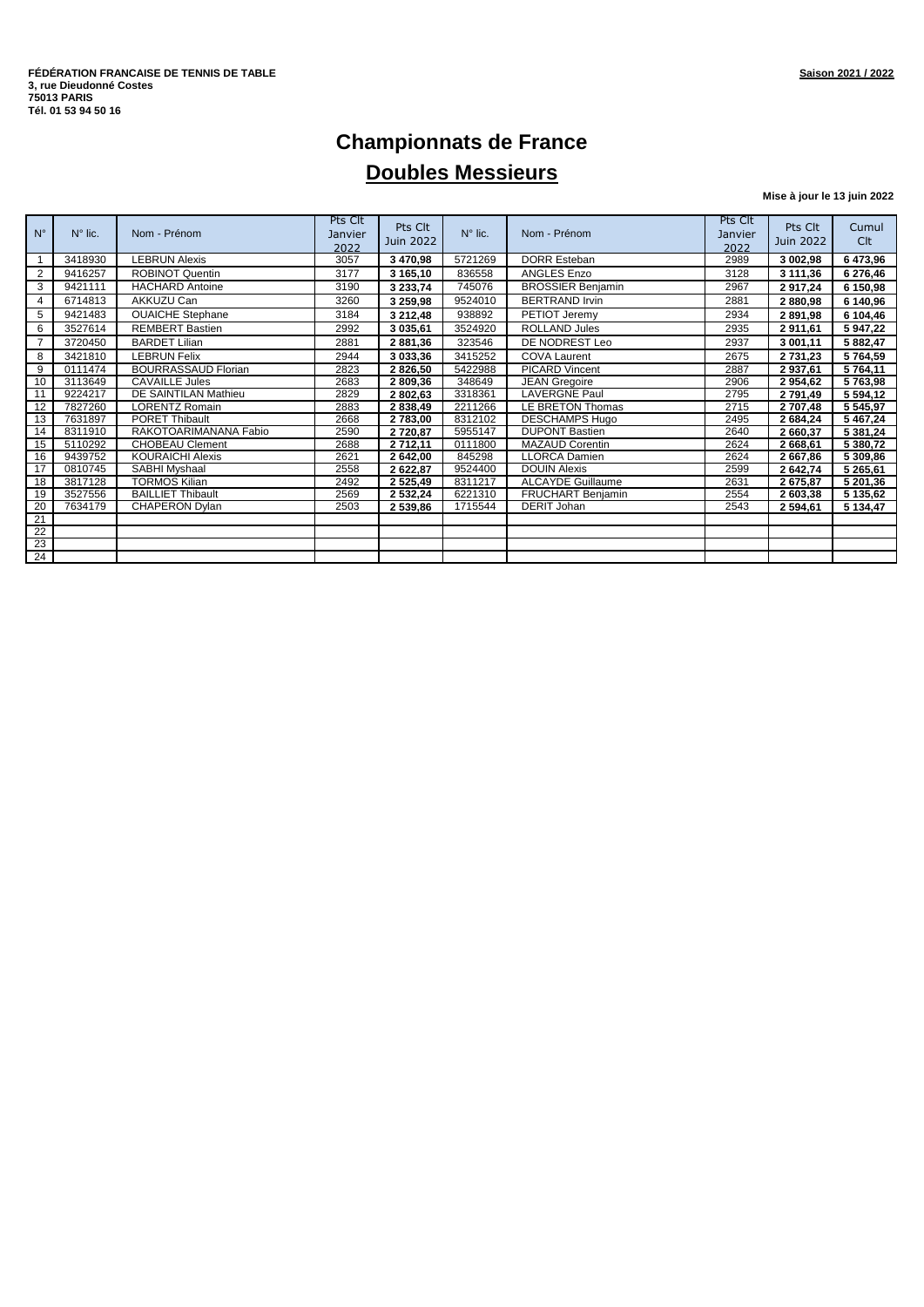### **Championnats de France Doubles Messieurs**

**Mise à jour le 13 juin 2022**

| $N^{\circ}$ | $N^{\circ}$ lic. | Nom - Prénom               | Pts Clt<br>Janvier<br>2022 | Pts Clt<br>Juin 2022 | $N^{\circ}$ lic. | Nom - Prénom             | Pts Clt<br>Janvier<br>2022 | Pts Clt<br>Juin 2022 | Cumul<br>Clt |
|-------------|------------------|----------------------------|----------------------------|----------------------|------------------|--------------------------|----------------------------|----------------------|--------------|
|             | 3418930          | <b>LEBRUN Alexis</b>       | 3057                       | 3 470,98             | 5721269          | <b>DORR Esteban</b>      | 2989                       | 3 002,98             | 6473,96      |
| 2           | 9416257          | <b>ROBINOT Quentin</b>     | 3177                       | 3 165,10             | 836558           | <b>ANGLES Enzo</b>       | 3128                       | 3 111,36             | 6 276,46     |
| 3           | 9421111          | <b>HACHARD Antoine</b>     | 3190                       | 3 233,74             | 745076           | <b>BROSSIER Benjamin</b> | 2967                       | 2917,24              | 6 150,98     |
| 4           | 6714813          | AKKUZU Can                 | 3260                       | 3 259,98             | 9524010          | <b>BERTRAND Irvin</b>    | 2881                       | 2880,98              | 6 140,96     |
| 5           | 9421483          | <b>OUAICHE Stephane</b>    | 3184                       | 3 212,48             | 938892           | PETIOT Jeremy            | 2934                       | 2 891,98             | 6 104,46     |
| 6           | 3527614          | <b>REMBERT Bastien</b>     | 2992                       | 3 035,61             | 3524920          | <b>ROLLAND Jules</b>     | 2935                       | 2911,61              | 5 947,22     |
|             | 3720450          | <b>BARDET Lilian</b>       | 2881                       | 2881,36              | 323546           | DE NODREST Leo           | 2937                       | 3 001,11             | 5 882,47     |
| 8           | 3421810          | <b>LEBRUN Felix</b>        | 2944                       | 3 033,36             | 3415252          | <b>COVA Laurent</b>      | 2675                       | 2 731,23             | 5764,59      |
| 9           | 0111474          | <b>BOURRASSAUD Florian</b> | 2823                       | 2 826,50             | 5422988          | <b>PICARD Vincent</b>    | 2887                       | 2937,61              | 5 764,11     |
| 10          | 3113649          | <b>CAVAILLE Jules</b>      | 2683                       | 2 809,36             | 348649           | <b>JEAN Gregoire</b>     | 2906                       | 2954,62              | 5763,98      |
| 11          | 9224217          | DE SAINTILAN Mathieu       | 2829                       | 2 802,63             | 3318361          | <b>LAVERGNE Paul</b>     | 2795                       | 2 791,49             | 5 5 9 4 1 2  |
| 12          | 7827260          | <b>LORENTZ Romain</b>      | 2883                       | 2 838,49             | 2211266          | LE BRETON Thomas         | 2715                       | 2 707,48             | 5 545,97     |
| 13          | 7631897          | <b>PORET Thibault</b>      | 2668                       | 2 783,00             | 8312102          | <b>DESCHAMPS Hugo</b>    | 2495                       | 2 684,24             | 5467,24      |
| 14          | 8311910          | RAKOTOARIMANANA Fabio      | 2590                       | 2 720,87             | 5955147          | <b>DUPONT Bastien</b>    | 2640                       | 2 660,37             | 5 381,24     |
| 15          | 5110292          | <b>CHOBEAU Clement</b>     | 2688                       | 2 712,11             | 0111800          | <b>MAZAUD Corentin</b>   | 2624                       | 2 668,61             | 5 380,72     |
| 16          | 9439752          | <b>KOURAICHI Alexis</b>    | 2621                       | 2 642,00             | 845298           | <b>LLORCA Damien</b>     | 2624                       | 2 667,86             | 5 309,86     |
| 17          | 0810745          | SABHI Myshaal              | 2558                       | 2 622,87             | 9524400          | <b>DOUIN Alexis</b>      | 2599                       | 2 642,74             | 5 265,61     |
| 18          | 3817128          | <b>TORMOS Kilian</b>       | 2492                       | 2 5 2 5 4 9          | 8311217          | <b>ALCAYDE Guillaume</b> | 2631                       | 2 675,87             | 5 201,36     |
| 19          | 3527556          | <b>BAILLIET Thibault</b>   | 2569                       | 2 532,24             | 6221310          | <b>FRUCHART Benjamin</b> | 2554                       | 2 603,38             | 5 135,62     |
| 20          | 7634179          | <b>CHAPERON Dvlan</b>      | 2503                       | 2 539,86             | 1715544          | DERIT Johan              | 2543                       | 2 594,61             | 5 134,47     |
| 21          |                  |                            |                            |                      |                  |                          |                            |                      |              |
| 22          |                  |                            |                            |                      |                  |                          |                            |                      |              |
| 23          |                  |                            |                            |                      |                  |                          |                            |                      |              |
| 24          |                  |                            |                            |                      |                  |                          |                            |                      |              |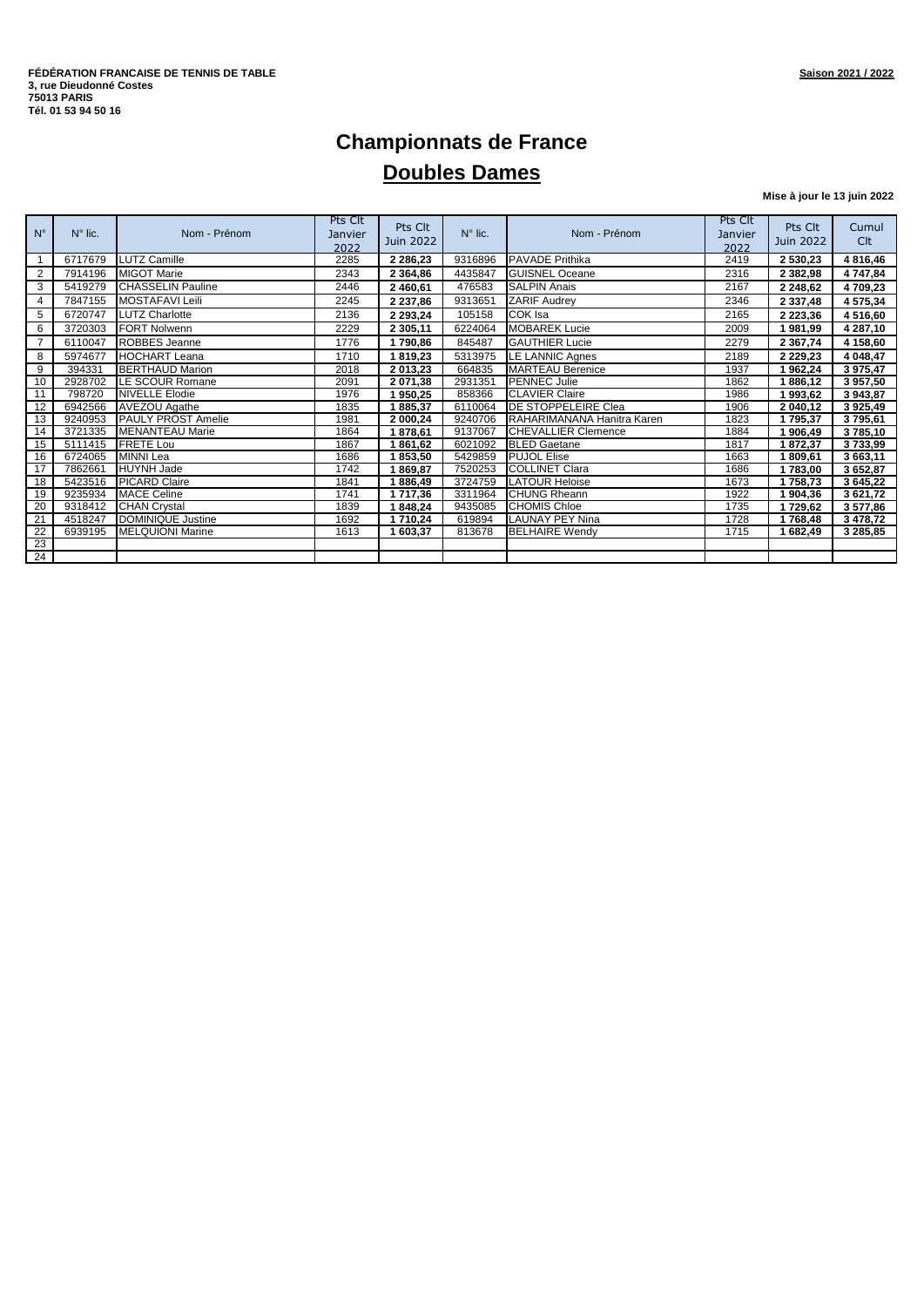#### **Championnats de France Doubles Dames**

**Mise à jour le 13 juin 2022**

| $N^{\circ}$     | $N^{\circ}$ lic. | Nom - Prénom              | Pts Clt<br>Janvier<br>2022 | Pts Clt<br>Juin 2022 | $N^{\circ}$ lic. | Nom - Prénom               | Pts Clt<br>Janvier<br>2022 | Pts Clt<br>Juin 2022 | Cumul<br><b>Clt</b> |
|-----------------|------------------|---------------------------|----------------------------|----------------------|------------------|----------------------------|----------------------------|----------------------|---------------------|
|                 | 6717679          | <b>LUTZ Camille</b>       | 2285                       | 2 2 8 6, 2 3         | 9316896          | <b>PAVADE Prithika</b>     | 2419                       | 2 530,23             | 4 8 1 6 4 6         |
| 2               | 7914196          | <b>MIGOT Marie</b>        | 2343                       | 2 3 6 4 , 8 6        | 4435847          | <b>GUISNEL Oceane</b>      | 2316                       | 2 3 8 2 , 9 8        | 4 747,84            |
| 3               | 5419279          | <b>CHASSELIN Pauline</b>  | 2446                       | 2 460,61             | 476583           | <b>SALPIN Anais</b>        | 2167                       | 2 248,62             | 4709,23             |
| 4               | 7847155          | <b>MOSTAFAVI Leili</b>    | 2245                       | 2 2 3 7, 8 6         | 9313651          | <b>ZARIF Audrey</b>        | 2346                       | 2 3 3 7,48           | 4 575,34            |
| 5               | 6720747          | <b>LUTZ Charlotte</b>     | 2136                       | 2 2 9 3 , 2 4        | 105158           | COK Isa                    | 2165                       | 2 2 2 3 , 3 6        | 4 5 1 6,60          |
| 6               | 3720303          | <b>FORT Nolwenn</b>       | 2229                       | 2 305,11             | 6224064          | <b>MOBAREK Lucie</b>       | 2009                       | 1981,99              | 4 287,10            |
| $\overline{7}$  | 6110047          | ROBBES Jeanne             | 1776                       | 1790,86              | 845487           | <b>GAUTHIER Lucie</b>      | 2279                       | 2 3 6 7 , 74         | 4 158,60            |
| 8               | 5974677          | <b>HOCHART Leana</b>      | 1710                       | 1819,23              | 5313975          | LE LANNIC Agnes            | 2189                       | 2 2 2 9 , 2 3        | 4 048,47            |
| 9               | 394331           | <b>BERTHAUD Marion</b>    | 2018                       | 2 013,23             | 664835           | <b>MARTEAU</b> Berenice    | 1937                       | 1962,24              | 3975,47             |
| 10              | 2928702          | <b>LE SCOUR Romane</b>    | 2091                       | 2 071,38             | 2931351          | <b>PENNEC Julie</b>        | 1862                       | 1886,12              | 3957,50             |
| 11              | 798720           | <b>NIVELLE Elodie</b>     | 1976                       | 1950,25              | 858366           | <b>CLAVIER Claire</b>      | 1986                       | 1993,62              | 3 943,87            |
| 12              | 6942566          | <b>AVEZOU Agathe</b>      | 1835                       | 1885,37              | 6110064          | <b>DE STOPPELEIRE Clea</b> | 1906                       | 2 040,12             | 3925,49             |
| 13              | 9240953          | <b>PAULY PROST Amelie</b> | 1981                       | 2 000,24             | 9240706          | RAHARIMANANA Hanitra Karen | 1823                       | 1795,37              | 3795,61             |
| 14              | 3721335          | <b>MENANTEAU Marie</b>    | 1864                       | 1878,61              | 9137067          | <b>CHEVALLIER Clemence</b> | 1884                       | 1 906,49             | 3785,10             |
| 15              | 5111415          | <b>FRETE Lou</b>          | 1867                       | 1861,62              | 6021092          | <b>BLED Gaetane</b>        | 1817                       | 1872,37              | 3733,99             |
| 16              | 6724065          | <b>MINNI Lea</b>          | 1686                       | 1853,50              | 5429859          | <b>PUJOL Elise</b>         | 1663                       | 1809,61              | 3 663,11            |
| 17              | 7862661          | <b>HUYNH Jade</b>         | 1742                       | 1869,87              | 7520253          | <b>COLLINET Clara</b>      | 1686                       | 1783,00              | 3652,87             |
| 18              | 5423516          | <b>PICARD Claire</b>      | 1841                       | 1886,49              | 3724759          | <b>LATOUR Heloise</b>      | 1673                       | 1758,73              | 3 645,22            |
| 19              | 9235934          | <b>MACE Celine</b>        | 1741                       | 1717,36              | 3311964          | <b>CHUNG Rheann</b>        | 1922                       | 1904,36              | 3 621,72            |
| 20              | 9318412          | <b>CHAN</b> Crystal       | 1839                       | 1848,24              | 9435085          | <b>CHOMIS Chloe</b>        | 1735                       | 1729,62              | 3577,86             |
| 21              | 4518247          | <b>DOMINIQUE Justine</b>  | 1692                       | 1710,24              | 619894           | <b>LAUNAY PEY Nina</b>     | 1728                       | 1768,48              | 3 4 78, 72          |
| $\overline{22}$ | 6939195          | <b>MELQUIONI Marine</b>   | 1613                       | 1 603,37             | 813678           | <b>BELHAIRE Wendy</b>      | 1715                       | 1 682,49             | 3 285,85            |
| 23              |                  |                           |                            |                      |                  |                            |                            |                      |                     |
| 24              |                  |                           |                            |                      |                  |                            |                            |                      |                     |